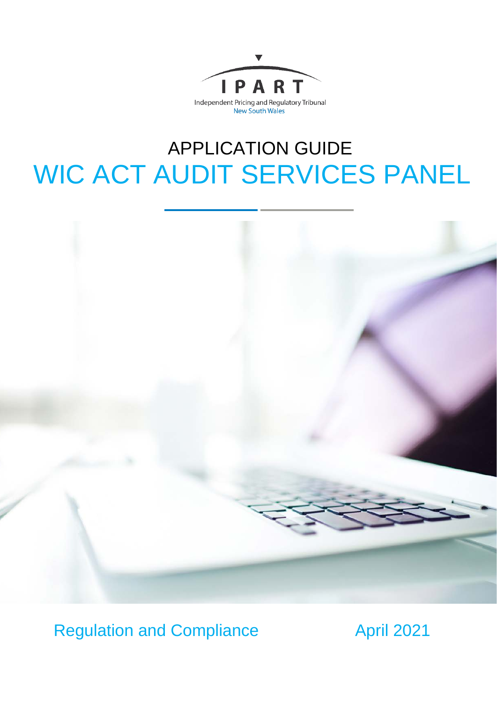

# APPLICATION GUIDE WIC ACT AUDIT SERVICES PANEL



Regulation and Compliance **April 2021**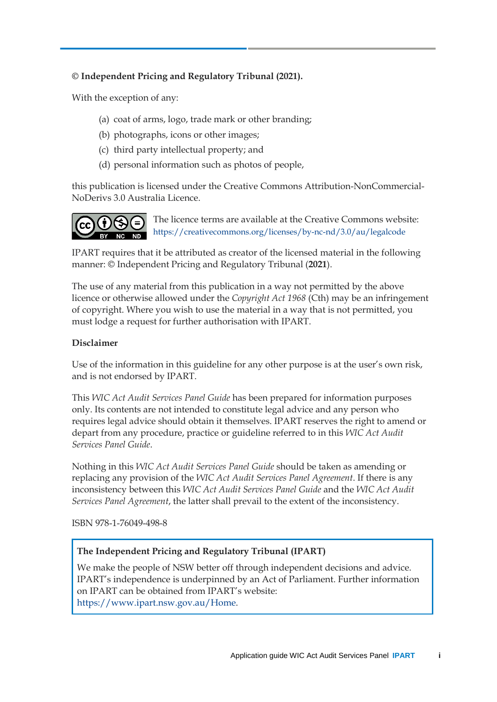### **© Independent Pricing and Regulatory Tribunal (2021).**

With the exception of any:

- (a) coat of arms, logo, trade mark or other branding;
- (b) photographs, icons or other images;
- (c) third party intellectual property; and
- (d) personal information such as photos of people,

this publication is licensed under the Creative Commons Attribution-NonCommercial-NoDerivs 3.0 Australia Licence.



The licence terms are available at the Creative Commons website: <https://creativecommons.org/licenses/by-nc-nd/3.0/au/legalcode>

IPART requires that it be attributed as creator of the licensed material in the following manner: © Independent Pricing and Regulatory Tribunal (**2021**).

The use of any material from this publication in a way not permitted by the above licence or otherwise allowed under the *Copyright Act 1968* (Cth) may be an infringement of copyright. Where you wish to use the material in a way that is not permitted, you must lodge a request for further authorisation with IPART.

#### **Disclaimer**

Use of the information in this guideline for any other purpose is at the user's own risk, and is not endorsed by IPART.

This *WIC Act Audit Services Panel Guide* has been prepared for information purposes only. Its contents are not intended to constitute legal advice and any person who requires legal advice should obtain it themselves. IPART reserves the right to amend or depart from any procedure, practice or guideline referred to in this *WIC Act Audit Services Panel Guide*.

Nothing in this *WIC Act Audit Services Panel Guide* should be taken as amending or replacing any provision of the *WIC Act Audit Services Panel Agreement*. If there is any inconsistency between this *WIC Act Audit Services Panel Guide* and the *WIC Act Audit Services Panel Agreement*, the latter shall prevail to the extent of the inconsistency.

ISBN 978-1-76049-498-8

### **The Independent Pricing and Regulatory Tribunal (IPART)**

We make the people of NSW better off through independent decisions and advice. IPART's independence is underpinned by an Act of Parliament. Further information on IPART can be obtained from IPART's website: [https://www.ipart.nsw.gov.au/Home.](https://www.ipart.nsw.gov.au/Home)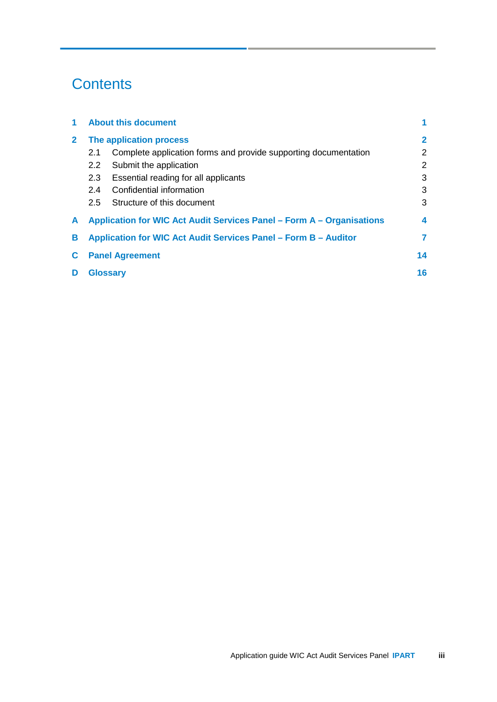# **Contents**

|              | <b>About this document</b>                                            |                                                                 |                |  |
|--------------|-----------------------------------------------------------------------|-----------------------------------------------------------------|----------------|--|
| $\mathbf{2}$ | The application process                                               |                                                                 |                |  |
|              | 2.1                                                                   | Complete application forms and provide supporting documentation | $\overline{2}$ |  |
|              | $2.2^{\circ}$                                                         | Submit the application                                          | $\overline{2}$ |  |
|              | 2.3                                                                   | Essential reading for all applicants                            | 3              |  |
|              | 2.4                                                                   | Confidential information                                        | 3              |  |
|              | 2.5                                                                   | Structure of this document                                      | 3              |  |
| A            | Application for WIC Act Audit Services Panel – Form A – Organisations |                                                                 |                |  |
| в            | Application for WIC Act Audit Services Panel – Form B – Auditor       |                                                                 |                |  |
|              | <b>Panel Agreement</b>                                                |                                                                 |                |  |
| D            | <b>Glossary</b>                                                       |                                                                 |                |  |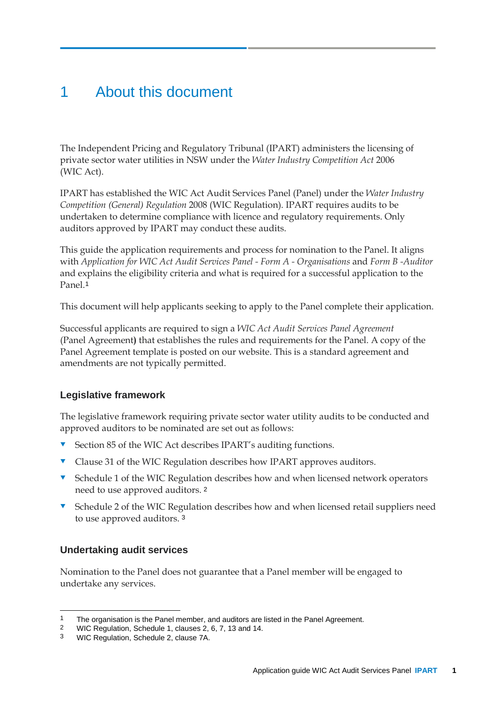## <span id="page-4-0"></span>1 About this document

The Independent Pricing and Regulatory Tribunal (IPART) administers the licensing of private sector water utilities in NSW under the *Water Industry Competition Act* 2006 (WIC Act).

IPART has established the WIC Act Audit Services Panel (Panel) under the *Water Industry Competition (General) Regulation* 2008 (WIC Regulation). IPART requires audits to be undertaken to determine compliance with licence and regulatory requirements. Only auditors approved by IPART may conduct these audits.

This guide the application requirements and process for nomination to the Panel. It aligns with *Application for WIC Act Audit Services Panel - Form A - Organisations* and *Form B -Auditor* and explains the eligibility criteria and what is required for a successful application to the Panel.[1](#page-4-1)

This document will help applicants seeking to apply to the Panel complete their application.

Successful applicants are required to sign a *WIC Act Audit Services Panel Agreement*  (Panel Agreement**)** that establishes the rules and requirements for the Panel. A copy of the Panel Agreement template is posted on our website. This is a standard agreement and amendments are not typically permitted.

### **Legislative framework**

The legislative framework requiring private sector water utility audits to be conducted and approved auditors to be nominated are set out as follows:

- Section 85 of the WIC Act describes IPART's auditing functions.
- **v** Clause 31 of the WIC Regulation describes how IPART approves auditors.
- **v** Schedule 1 of the WIC Regulation describes how and when licensed network operators need to use approved auditors. [2](#page-4-2)
- Schedule 2 of the WIC Regulation describes how and when licensed retail suppliers need to use approved auditors. [3](#page-4-3)

### **Undertaking audit services**

Nomination to the Panel does not guarantee that a Panel member will be engaged to undertake any services.

<span id="page-4-1"></span><sup>1</sup> The organisation is the Panel member, and auditors are listed in the Panel Agreement.<br>2 WIC Requisition, Schedule 1, clauses 2, 6, 7, 13 and 14.

<span id="page-4-2"></span><sup>2</sup> WIC Regulation, Schedule 1, clauses 2, 6, 7, 13 and 14.

<span id="page-4-3"></span><sup>3</sup> WIC Regulation, Schedule 2, clause 7A.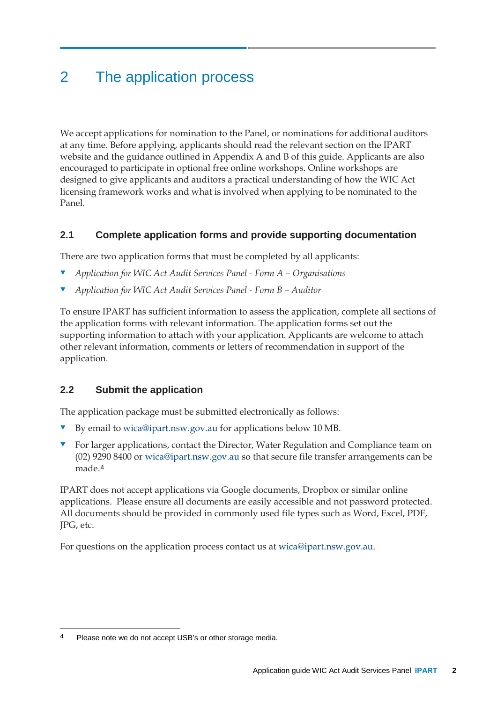# <span id="page-5-0"></span>2 The application process

We accept applications for nomination to the Panel, or nominations for additional auditors at any time. Before applying, applicants should read the relevant section on the IPART website and the guidance outlined in Appendix [A](#page-7-0) and [B](#page-10-0) of this guide. Applicants are also encouraged to participate in optional free online workshops. Online workshops are designed to give applicants and auditors a practical understanding of how the WIC Act licensing framework works and what is involved when applying to be nominated to the Panel.

### <span id="page-5-1"></span>**2.1 Complete application forms and provide supporting documentation**

There are two application forms that must be completed by all applicants:

- *Application for WIC Act Audit Services Panel - Form A – Organisations*
- *Application for WIC Act Audit Services Panel - Form B – Auditor*

To ensure IPART has sufficient information to assess the application, complete all sections of the application forms with relevant information. The application forms set out the supporting information to attach with your application. Applicants are welcome to attach other relevant information, comments or letters of recommendation in support of the application.

### <span id="page-5-2"></span>**2.2 Submit the application**

The application package must be submitted electronically as follows:

- By email to [wica@ipart.nsw.gov.au](mailto:wica@ipart.nsw.gov.au) for applications below 10 MB.
- For larger applications, contact the Director, Water Regulation and Compliance team on (02) 9290 8400 or [wica@ipart.nsw.gov.au](mailto:wica@ipart.nsw.gov.au) so that secure file transfer arrangements can be made.[4](#page-5-3)

IPART does not accept applications via Google documents, Dropbox or similar online applications. Please ensure all documents are easily accessible and not password protected. All documents should be provided in commonly used file types such as Word, Excel, PDF, JPG, etc.

For questions on the application process contact us at [wica@ipart.nsw.gov.au.](mailto:wica@ipart.nsw.gov.au)

<span id="page-5-3"></span><sup>4</sup> Please note we do not accept USB's or other storage media.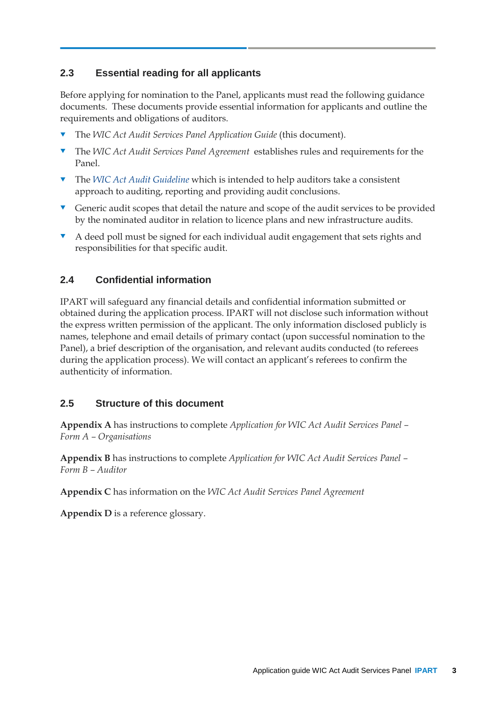### <span id="page-6-0"></span>**2.3 Essential reading for all applicants**

Before applying for nomination to the Panel, applicants must read the following guidance documents. These documents provide essential information for applicants and outline the requirements and obligations of auditors.

- The *WIC Act Audit Services Panel Application Guide* (this document).
- The *WIC Act Audit Services Panel Agreement* establishes rules and requirements for the Panel.
- The *WIC [Act Audit Guideline](https://www.ipart.nsw.gov.au/Home/Industries/Water/Alternate-water-utilities-WICA/Forms-guidelines)* which is intended to help auditors take a consistent approach to auditing, reporting and providing audit conclusions.
- Generic audit scopes that detail the nature and scope of the audit services to be provided by the nominated auditor in relation to licence plans and new infrastructure audits.
- A deed poll must be signed for each individual audit engagement that sets rights and responsibilities for that specific audit.

### <span id="page-6-1"></span>**2.4 Confidential information**

IPART will safeguard any financial details and confidential information submitted or obtained during the application process. IPART will not disclose such information without the express written permission of the applicant. The only information disclosed publicly is names, telephone and email details of primary contact (upon successful nomination to the Panel), a brief description of the organisation, and relevant audits conducted (to referees during the application process). We will contact an applicant's referees to confirm the authenticity of information.

### <span id="page-6-2"></span>**2.5 Structure of this document**

**Appendix [A](#page-7-0)** has instructions to complete *Application for WIC Act Audit Services Panel – Form A – Organisations*

**Appendix [B](#page-10-0)** has instructions to complete *Application for WIC Act Audit Services Panel – Form B – Auditor*

**Appendix [C](#page-17-0)** has information on the *WIC Act Audit Services Panel Agreement*

**Appendix [D](#page-19-0)** is a reference glossary.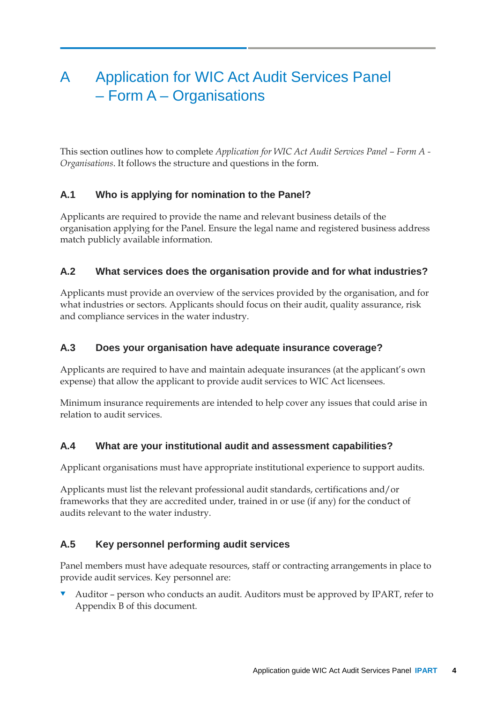# <span id="page-7-0"></span>A Application for WIC Act Audit Services Panel – Form A – Organisations

This section outlines how to complete *Application for WIC Act Audit Services Panel – Form A - Organisations*. It follows the structure and questions in the form.

### **A.1 Who is applying for nomination to the Panel?**

Applicants are required to provide the name and relevant business details of the organisation applying for the Panel. Ensure the legal name and registered business address match publicly available information.

### **A.2 What services does the organisation provide and for what industries?**

Applicants must provide an overview of the services provided by the organisation, and for what industries or sectors. Applicants should focus on their audit, quality assurance, risk and compliance services in the water industry.

### **A.3 Does your organisation have adequate insurance coverage?**

Applicants are required to have and maintain adequate insurances (at the applicant's own expense) that allow the applicant to provide audit services to WIC Act licensees.

Minimum insurance requirements are intended to help cover any issues that could arise in relation to audit services.

### **A.4 What are your institutional audit and assessment capabilities?**

Applicant organisations must have appropriate institutional experience to support audits.

Applicants must list the relevant professional audit standards, certifications and/or frameworks that they are accredited under, trained in or use (if any) for the conduct of audits relevant to the water industry.

### **A.5 Key personnel performing audit services**

Panel members must have adequate resources, staff or contracting arrangements in place to provide audit services. Key personnel are:

 Auditor – person who conducts an audit. Auditors must be approved by IPART, refer to Appendix [B](#page-10-0) of this document.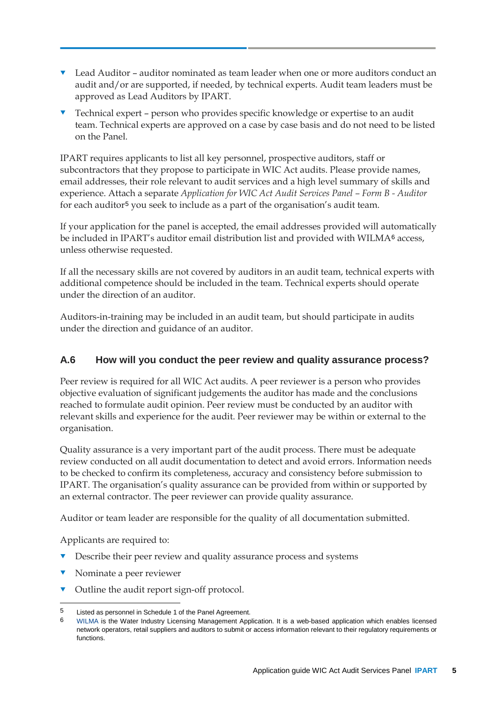- Lead Auditor auditor nominated as team leader when one or more auditors conduct an audit and/or are supported, if needed, by technical experts. Audit team leaders must be approved as Lead Auditors by IPART.
- Technical expert person who provides specific knowledge or expertise to an audit team. Technical experts are approved on a case by case basis and do not need to be listed on the Panel.

IPART requires applicants to list all key personnel, prospective auditors, staff or subcontractors that they propose to participate in WIC Act audits. Please provide names, email addresses, their role relevant to audit services and a high level summary of skills and experience. Attach a separate *Application for WIC Act Audit Services Panel – Form B - Auditor* for each auditor[5](#page-8-0) you seek to include as a part of the organisation's audit team.

If your application for the panel is accepted, the email addresses provided will automatically be included in IPART's auditor email distribution list and provided with WILMA<sup>[6](#page-8-1)</sup> access, unless otherwise requested.

If all the necessary skills are not covered by auditors in an audit team, technical experts with additional competence should be included in the team. Technical experts should operate under the direction of an auditor.

Auditors-in-training may be included in an audit team, but should participate in audits under the direction and guidance of an auditor.

### **A.6 How will you conduct the peer review and quality assurance process?**

Peer review is required for all WIC Act audits. A peer reviewer is a person who provides objective evaluation of significant judgements the auditor has made and the conclusions reached to formulate audit opinion. Peer review must be conducted by an auditor with relevant skills and experience for the audit. Peer reviewer may be within or external to the organisation.

Quality assurance is a very important part of the audit process. There must be adequate review conducted on all audit documentation to detect and avoid errors. Information needs to be checked to confirm its completeness, accuracy and consistency before submission to IPART. The organisation's quality assurance can be provided from within or supported by an external contractor. The peer reviewer can provide quality assurance.

Auditor or team leader are responsible for the quality of all documentation submitted.

Applicants are required to:

- Describe their peer review and quality assurance process and systems
- **v** Nominate a peer reviewer
- Outline the audit report sign-off protocol.

<span id="page-8-1"></span><span id="page-8-0"></span><sup>5</sup> Listed as personnel in Schedule 1 of the Panel Agreement.<br>6 Will MA is the Water Industry Lieopoing Management Ann

<sup>6</sup> [WILMA](https://wilma.ipart.nsw.gov.au/) is the Water Industry Licensing Management Application. It is a web-based application which enables licensed network operators, retail suppliers and auditors to submit or access information relevant to their regulatory requirements or functions.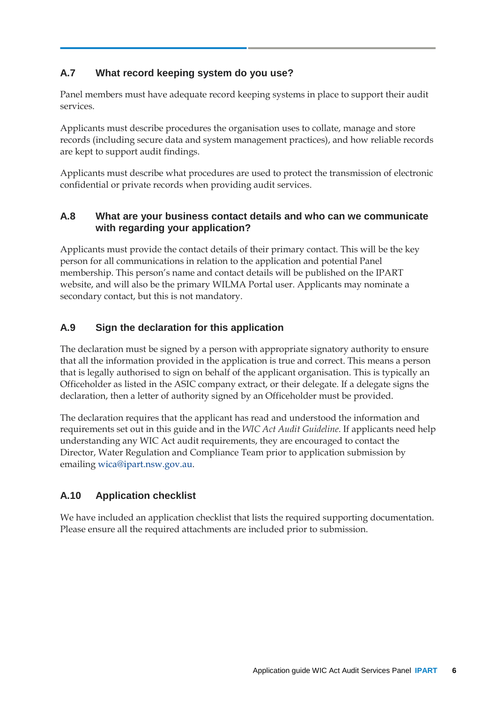### **A.7 What record keeping system do you use?**

Panel members must have adequate record keeping systems in place to support their audit services.

Applicants must describe procedures the organisation uses to collate, manage and store records (including secure data and system management practices), and how reliable records are kept to support audit findings.

Applicants must describe what procedures are used to protect the transmission of electronic confidential or private records when providing audit services.

### **A.8 What are your business contact details and who can we communicate with regarding your application?**

Applicants must provide the contact details of their primary contact. This will be the key person for all communications in relation to the application and potential Panel membership. This person's name and contact details will be published on the IPART website, and will also be the primary WILMA Portal user. Applicants may nominate a secondary contact, but this is not mandatory.

### **A.9 Sign the declaration for this application**

The declaration must be signed by a person with appropriate signatory authority to ensure that all the information provided in the application is true and correct. This means a person that is legally authorised to sign on behalf of the applicant organisation. This is typically an Officeholder as listed in the ASIC company extract, or their delegate. If a delegate signs the declaration, then a letter of authority signed by an Officeholder must be provided.

The declaration requires that the applicant has read and understood the information and requirements set out in this guide and in the *WIC Act Audit Guideline*. If applicants need help understanding any WIC Act audit requirements, they are encouraged to contact the Director, Water Regulation and Compliance Team prior to application submission by emailing [wica@ipart.nsw.gov.au.](mailto:wica@ipart.nsw.gov.au?subject=WIC%20Act%20audit%20services%20panel%20application)

### **A.10 Application checklist**

We have included an application checklist that lists the required supporting documentation. Please ensure all the required attachments are included prior to submission.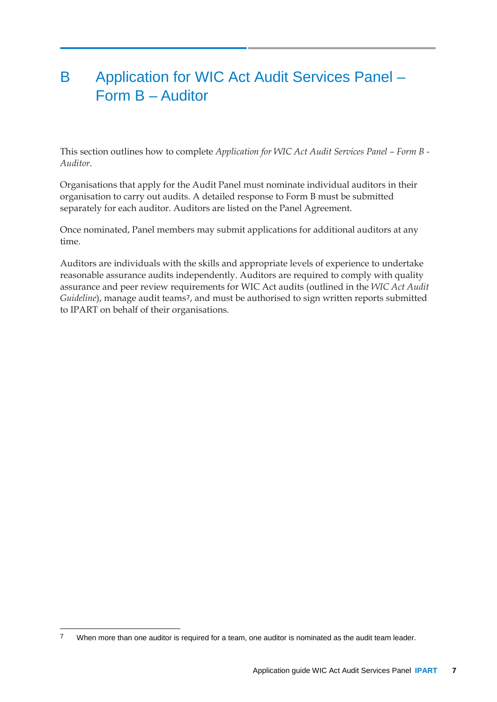## <span id="page-10-0"></span>B Application for WIC Act Audit Services Panel – Form B – Auditor

This section outlines how to complete *Application for WIC Act Audit Services Panel – Form B - Auditor*.

Organisations that apply for the Audit Panel must nominate individual auditors in their organisation to carry out audits. A detailed response to Form B must be submitted separately for each auditor. Auditors are listed on the Panel Agreement.

Once nominated, Panel members may submit applications for additional auditors at any time.

Auditors are individuals with the skills and appropriate levels of experience to undertake reasonable assurance audits independently. Auditors are required to comply with quality assurance and peer review requirements for WIC Act audits (outlined in the *WIC Act Audit Guideline*), manage audit teams[7](#page-10-1), and must be authorised to sign written reports submitted to IPART on behalf of their organisations.

<span id="page-10-1"></span><sup>&</sup>lt;sup>7</sup> When more than one auditor is required for a team, one auditor is nominated as the audit team leader.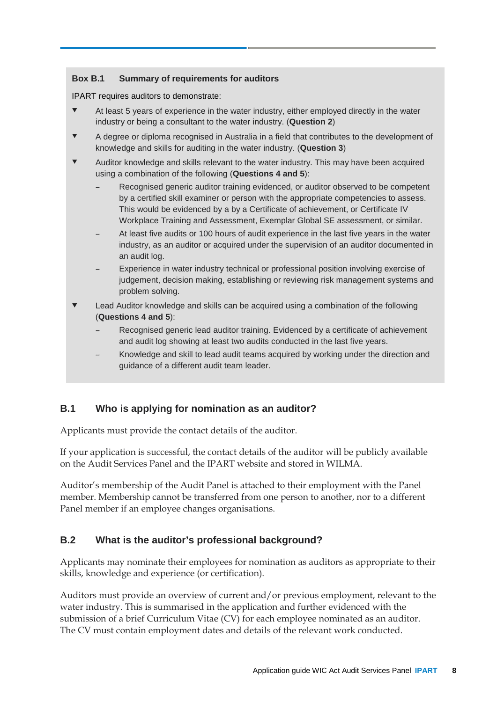#### **Box B.1 Summary of requirements for auditors**

IPART requires auditors to demonstrate:

- At least 5 years of experience in the water industry, either employed directly in the water industry or being a consultant to the water industry. (**Question 2**)
- A degree or diploma recognised in Australia in a field that contributes to the development of knowledge and skills for auditing in the water industry. (**Question 3**)
- Auditor knowledge and skills relevant to the water industry. This may have been acquired using a combination of the following (**Questions 4 and 5**):
	- Recognised generic auditor training evidenced, or auditor observed to be competent by a certified skill examiner or person with the appropriate competencies to assess. This would be evidenced by a by a Certificate of achievement, or Certificate IV Workplace Training and Assessment, Exemplar Global SE assessment, or similar.
	- At least five audits or 100 hours of audit experience in the last five years in the water industry, as an auditor or acquired under the supervision of an auditor documented in an audit log.
	- Experience in water industry technical or professional position involving exercise of judgement, decision making, establishing or reviewing risk management systems and problem solving.
- **Lead Auditor knowledge and skills can be acquired using a combination of the following** (**Questions 4 and 5**):
	- Recognised generic lead auditor training. Evidenced by a certificate of achievement and audit log showing at least two audits conducted in the last five years.
	- Knowledge and skill to lead audit teams acquired by working under the direction and guidance of a different audit team leader.

### **B.1 Who is applying for nomination as an auditor?**

Applicants must provide the contact details of the auditor.

If your application is successful, the contact details of the auditor will be publicly available on the Audit Services Panel and the IPART website and stored in WILMA.

Auditor's membership of the Audit Panel is attached to their employment with the Panel member. Membership cannot be transferred from one person to another, nor to a different Panel member if an employee changes organisations.

### **B.2 What is the auditor's professional background?**

Applicants may nominate their employees for nomination as auditors as appropriate to their skills, knowledge and experience (or certification).

Auditors must provide an overview of current and/or previous employment, relevant to the water industry. This is summarised in the application and further evidenced with the submission of a brief Curriculum Vitae (CV) for each employee nominated as an auditor. The CV must contain employment dates and details of the relevant work conducted.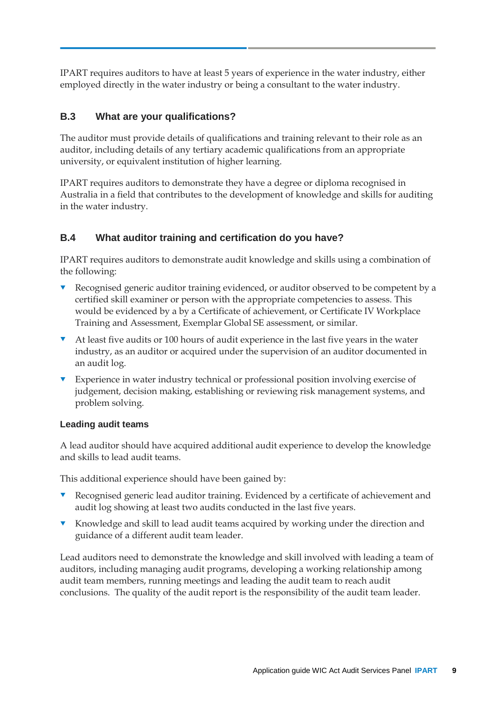IPART requires auditors to have at least 5 years of experience in the water industry, either employed directly in the water industry or being a consultant to the water industry.

### **B.3 What are your qualifications?**

The auditor must provide details of qualifications and training relevant to their role as an auditor, including details of any tertiary academic qualifications from an appropriate university, or equivalent institution of higher learning.

IPART requires auditors to demonstrate they have a degree or diploma recognised in Australia in a field that contributes to the development of knowledge and skills for auditing in the water industry.

### **B.4 What auditor training and certification do you have?**

IPART requires auditors to demonstrate audit knowledge and skills using a combination of the following:

- Recognised generic auditor training evidenced, or auditor observed to be competent by a certified skill examiner or person with the appropriate competencies to assess. This would be evidenced by a by a Certificate of achievement, or Certificate IV Workplace Training and Assessment, Exemplar Global SE assessment, or similar.
- At least five audits or 100 hours of audit experience in the last five years in the water industry, as an auditor or acquired under the supervision of an auditor documented in an audit log.
- **Experience in water industry technical or professional position involving exercise of** judgement, decision making, establishing or reviewing risk management systems, and problem solving.

#### **Leading audit teams**

A lead auditor should have acquired additional audit experience to develop the knowledge and skills to lead audit teams.

This additional experience should have been gained by:

- Recognised generic lead auditor training. Evidenced by a certificate of achievement and audit log showing at least two audits conducted in the last five years.
- **K** Knowledge and skill to lead audit teams acquired by working under the direction and guidance of a different audit team leader.

Lead auditors need to demonstrate the knowledge and skill involved with leading a team of auditors, including managing audit programs, developing a working relationship among audit team members, running meetings and leading the audit team to reach audit conclusions. The quality of the audit report is the responsibility of the audit team leader.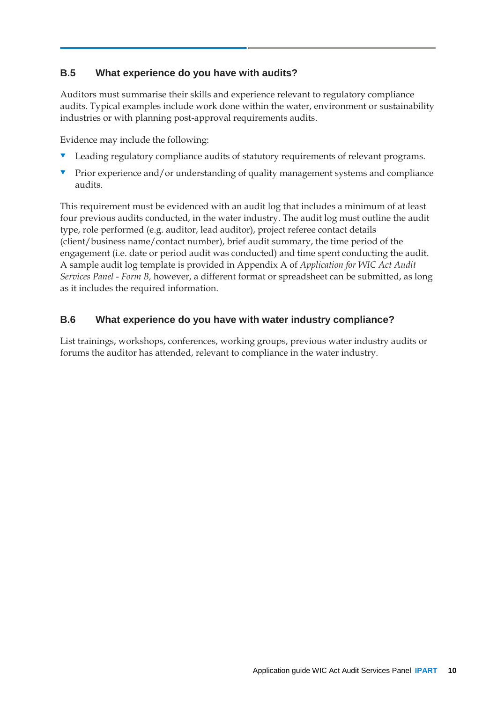### **B.5 What experience do you have with audits?**

Auditors must summarise their skills and experience relevant to regulatory compliance audits. Typical examples include work done within the water, environment or sustainability industries or with planning post-approval requirements audits.

Evidence may include the following:

- Leading regulatory compliance audits of statutory requirements of relevant programs.
- Prior experience and/or understanding of quality management systems and compliance audits.

This requirement must be evidenced with an audit log that includes a minimum of at least four previous audits conducted, in the water industry. The audit log must outline the audit type, role performed (e.g. auditor, lead auditor), project referee contact details (client/business name/contact number), brief audit summary, the time period of the engagement (i.e. date or period audit was conducted) and time spent conducting the audit. A sample audit log template is provided in Appendi[x A](#page-7-0) of *Application for WIC Act Audit Services Panel - Form B,* however, a different format or spreadsheet can be submitted, as long as it includes the required information.

### **B.6 What experience do you have with water industry compliance?**

List trainings, workshops, conferences, working groups, previous water industry audits or forums the auditor has attended, relevant to compliance in the water industry.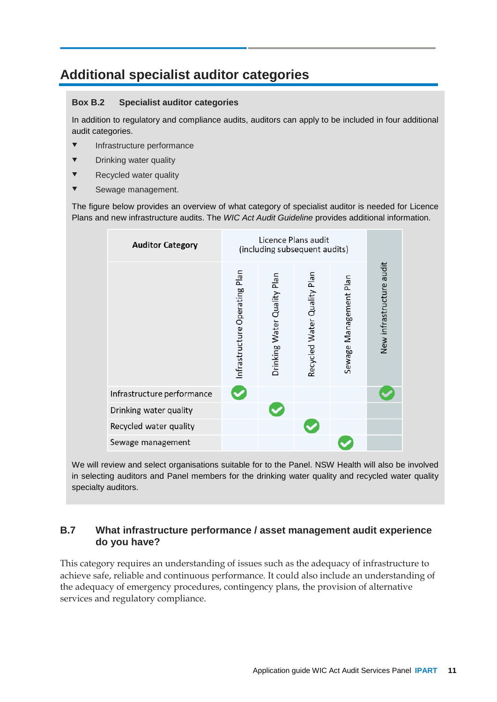### **Additional specialist auditor categories**

#### **Box B.2 Specialist auditor categories**

In addition to regulatory and compliance audits, auditors can apply to be included in four additional audit categories.

- **v** Infrastructure performance
- **v** Drinking water quality
- **v** Recycled water quality
- **v** Sewage management.

The figure below provides an overview of what category of specialist auditor is needed for Licence Plans and new infrastructure audits. The *WIC Act Audit Guideline* provides additional information.

| <b>Auditor Category</b>    | Licence Plans audit<br>(including subsequent audits) |                             |                             |                        |                          |
|----------------------------|------------------------------------------------------|-----------------------------|-----------------------------|------------------------|--------------------------|
|                            | Infrastructure Operating Plan                        | Drinking Water Quality Plan | Recycled Water Quality Plan | Sewage Management Plan | New infrastructure audit |
| Infrastructure performance |                                                      |                             |                             |                        |                          |
| Drinking water quality     |                                                      |                             |                             |                        |                          |
| Recycled water quality     |                                                      |                             |                             |                        |                          |
| Sewage management          |                                                      |                             |                             |                        |                          |

We will review and select organisations suitable for to the Panel. NSW Health will also be involved in selecting auditors and Panel members for the drinking water quality and recycled water quality specialty auditors.

### **B.7 What infrastructure performance / asset management audit experience do you have?**

This category requires an understanding of issues such as the adequacy of infrastructure to achieve safe, reliable and continuous performance. It could also include an understanding of the adequacy of emergency procedures, contingency plans, the provision of alternative services and regulatory compliance.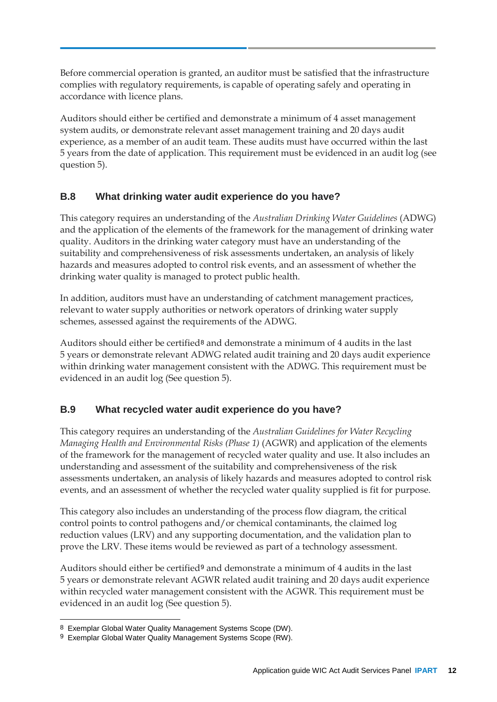Before commercial operation is granted, an auditor must be satisfied that the infrastructure complies with regulatory requirements, is capable of operating safely and operating in accordance with licence plans.

Auditors should either be certified and demonstrate a minimum of 4 asset management system audits, or demonstrate relevant asset management training and 20 days audit experience, as a member of an audit team. These audits must have occurred within the last 5 years from the date of application. This requirement must be evidenced in an audit log (see question 5).

### **B.8 What drinking water audit experience do you have?**

This category requires an understanding of the *Australian Drinking Water Guidelines* (ADWG) and the application of the elements of the framework for the management of drinking water quality. Auditors in the drinking water category must have an understanding of the suitability and comprehensiveness of risk assessments undertaken, an analysis of likely hazards and measures adopted to control risk events, and an assessment of whether the drinking water quality is managed to protect public health.

In addition, auditors must have an understanding of catchment management practices, relevant to water supply authorities or network operators of drinking water supply schemes, assessed against the requirements of the ADWG.

Auditors should either be certified[8](#page-15-0) and demonstrate a minimum of 4 audits in the last 5 years or demonstrate relevant ADWG related audit training and 20 days audit experience within drinking water management consistent with the ADWG. This requirement must be evidenced in an audit log (See question 5).

### **B.9 What recycled water audit experience do you have?**

This category requires an understanding of the *Australian Guidelines for Water Recycling Managing Health and Environmental Risks (Phase 1)* (AGWR) and application of the elements of the framework for the management of recycled water quality and use. It also includes an understanding and assessment of the suitability and comprehensiveness of the risk assessments undertaken, an analysis of likely hazards and measures adopted to control risk events, and an assessment of whether the recycled water quality supplied is fit for purpose.

This category also includes an understanding of the process flow diagram, the critical control points to control pathogens and/or chemical contaminants, the claimed log reduction values (LRV) and any supporting documentation, and the validation plan to prove the LRV. These items would be reviewed as part of a technology assessment.

Auditors should either be certified[9](#page-15-1) and demonstrate a minimum of 4 audits in the last 5 years or demonstrate relevant AGWR related audit training and 20 days audit experience within recycled water management consistent with the AGWR. This requirement must be evidenced in an audit log (See question 5).

 <sup>8</sup> Exemplar Global Water Quality Management Systems Scope (DW).

<span id="page-15-1"></span><span id="page-15-0"></span><sup>9</sup> Exemplar Global Water Quality Management Systems Scope (RW).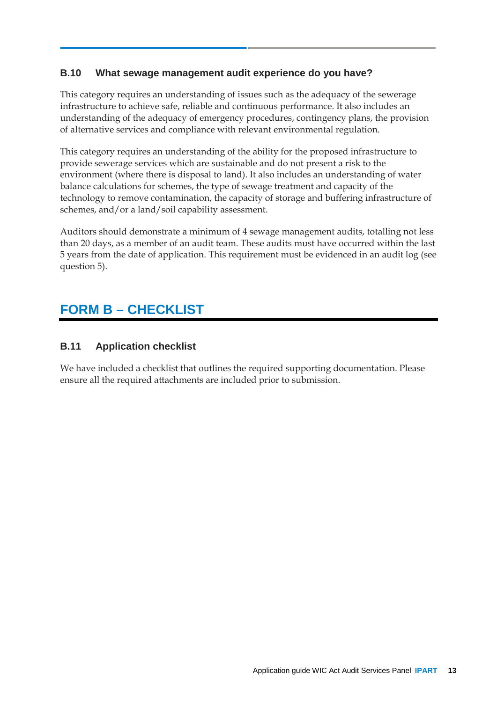### **B.10 What sewage management audit experience do you have?**

This category requires an understanding of issues such as the adequacy of the sewerage infrastructure to achieve safe, reliable and continuous performance. It also includes an understanding of the adequacy of emergency procedures, contingency plans, the provision of alternative services and compliance with relevant environmental regulation.

This category requires an understanding of the ability for the proposed infrastructure to provide sewerage services which are sustainable and do not present a risk to the environment (where there is disposal to land). It also includes an understanding of water balance calculations for schemes, the type of sewage treatment and capacity of the technology to remove contamination, the capacity of storage and buffering infrastructure of schemes, and/or a land/soil capability assessment.

Auditors should demonstrate a minimum of 4 sewage management audits, totalling not less than 20 days, as a member of an audit team. These audits must have occurred within the last 5 years from the date of application. This requirement must be evidenced in an audit log (see question 5).

### **FORM B – CHECKLIST**

### **B.11 Application checklist**

We have included a checklist that outlines the required supporting documentation. Please ensure all the required attachments are included prior to submission.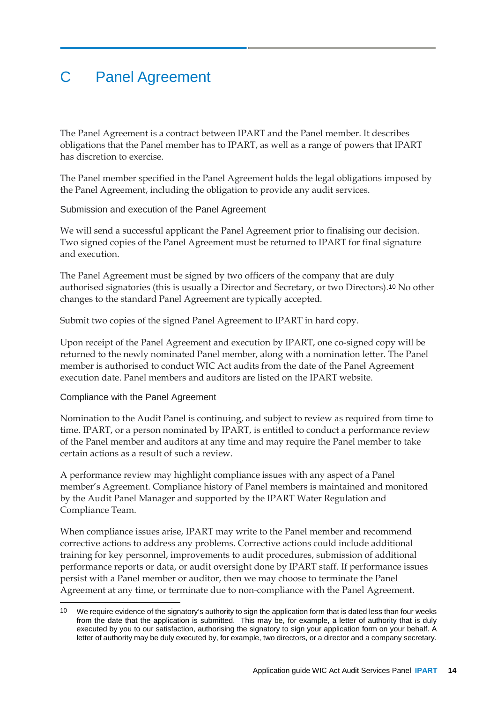# <span id="page-17-0"></span>C Panel Agreement

The Panel Agreement is a contract between IPART and the Panel member. It describes obligations that the Panel member has to IPART, as well as a range of powers that IPART has discretion to exercise.

The Panel member specified in the Panel Agreement holds the legal obligations imposed by the Panel Agreement, including the obligation to provide any audit services.

Submission and execution of the Panel Agreement

We will send a successful applicant the Panel Agreement prior to finalising our decision. Two signed copies of the Panel Agreement must be returned to IPART for final signature and execution.

The Panel Agreement must be signed by two officers of the company that are duly authorised signatories (this is usually a Director and Secretary, or two Directors).[10](#page-17-1) No other changes to the standard Panel Agreement are typically accepted.

Submit two copies of the signed Panel Agreement to IPART in hard copy.

Upon receipt of the Panel Agreement and execution by IPART, one co-signed copy will be returned to the newly nominated Panel member, along with a nomination letter. The Panel member is authorised to conduct WIC Act audits from the date of the Panel Agreement execution date. Panel members and auditors are listed on the IPART website.

#### Compliance with the Panel Agreement

Nomination to the Audit Panel is continuing, and subject to review as required from time to time. IPART, or a person nominated by IPART, is entitled to conduct a performance review of the Panel member and auditors at any time and may require the Panel member to take certain actions as a result of such a review.

A performance review may highlight compliance issues with any aspect of a Panel member's Agreement. Compliance history of Panel members is maintained and monitored by the Audit Panel Manager and supported by the IPART Water Regulation and Compliance Team.

When compliance issues arise, IPART may write to the Panel member and recommend corrective actions to address any problems. Corrective actions could include additional training for key personnel, improvements to audit procedures, submission of additional performance reports or data, or audit oversight done by IPART staff. If performance issues persist with a Panel member or auditor, then we may choose to terminate the Panel Agreement at any time, or terminate due to non-compliance with the Panel Agreement.

<span id="page-17-1"></span>We require evidence of the signatory's authority to sign the application form that is dated less than four weeks from the date that the application is submitted. This may be, for example, a letter of authority that is duly executed by you to our satisfaction, authorising the signatory to sign your application form on your behalf. A letter of authority may be duly executed by, for example, two directors, or a director and a company secretary.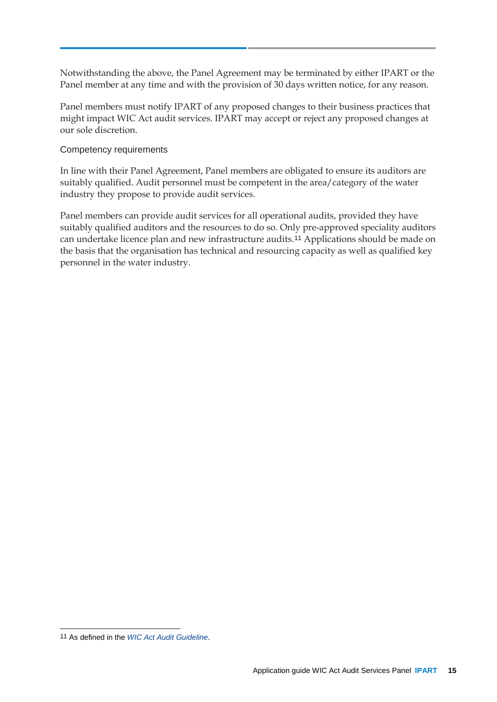Notwithstanding the above, the Panel Agreement may be terminated by either IPART or the Panel member at any time and with the provision of 30 days written notice, for any reason.

Panel members must notify IPART of any proposed changes to their business practices that might impact WIC Act audit services. IPART may accept or reject any proposed changes at our sole discretion.

#### Competency requirements

In line with their Panel Agreement, Panel members are obligated to ensure its auditors are suitably qualified. Audit personnel must be competent in the area/category of the water industry they propose to provide audit services.

Panel members can provide audit services for all operational audits, provided they have suitably qualified auditors and the resources to do so. Only pre-approved speciality auditors can undertake licence plan and new infrastructure audits.[11](#page-18-0) Applications should be made on the basis that the organisation has technical and resourcing capacity as well as qualified key personnel in the water industry.

<span id="page-18-0"></span> <sup>11</sup> As defined in the *WIC [Act Audit Guideline](https://www.ipart.nsw.gov.au/Home/Industries/Water/Alternate-water-utilities-WICA/Forms-guidelines/WIC-Act-Insurance-Guide-for-Applicants-and-Licensees-July-2020)*.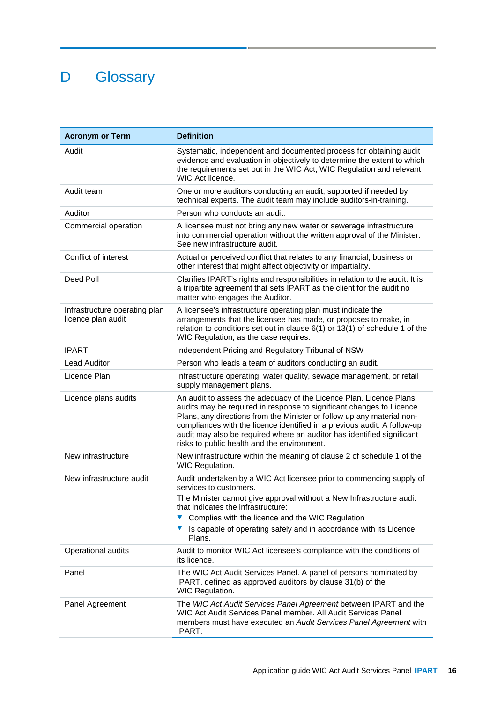# <span id="page-19-0"></span>D Glossary

| <b>Acronym or Term</b>                              | <b>Definition</b>                                                                                                                                                                                                                                                                                                                                                                                                         |  |  |  |  |
|-----------------------------------------------------|---------------------------------------------------------------------------------------------------------------------------------------------------------------------------------------------------------------------------------------------------------------------------------------------------------------------------------------------------------------------------------------------------------------------------|--|--|--|--|
| Audit                                               | Systematic, independent and documented process for obtaining audit<br>evidence and evaluation in objectively to determine the extent to which<br>the requirements set out in the WIC Act, WIC Regulation and relevant<br>WIC Act licence.                                                                                                                                                                                 |  |  |  |  |
| Audit team                                          | One or more auditors conducting an audit, supported if needed by<br>technical experts. The audit team may include auditors-in-training.                                                                                                                                                                                                                                                                                   |  |  |  |  |
| Auditor                                             | Person who conducts an audit.                                                                                                                                                                                                                                                                                                                                                                                             |  |  |  |  |
| Commercial operation                                | A licensee must not bring any new water or sewerage infrastructure<br>into commercial operation without the written approval of the Minister.<br>See new infrastructure audit.                                                                                                                                                                                                                                            |  |  |  |  |
| Conflict of interest                                | Actual or perceived conflict that relates to any financial, business or<br>other interest that might affect objectivity or impartiality.                                                                                                                                                                                                                                                                                  |  |  |  |  |
| Deed Poll                                           | Clarifies IPART's rights and responsibilities in relation to the audit. It is<br>a tripartite agreement that sets IPART as the client for the audit no<br>matter who engages the Auditor.                                                                                                                                                                                                                                 |  |  |  |  |
| Infrastructure operating plan<br>licence plan audit | A licensee's infrastructure operating plan must indicate the<br>arrangements that the licensee has made, or proposes to make, in<br>relation to conditions set out in clause 6(1) or 13(1) of schedule 1 of the<br>WIC Regulation, as the case requires.                                                                                                                                                                  |  |  |  |  |
| <b>IPART</b>                                        | Independent Pricing and Regulatory Tribunal of NSW                                                                                                                                                                                                                                                                                                                                                                        |  |  |  |  |
| <b>Lead Auditor</b>                                 | Person who leads a team of auditors conducting an audit.                                                                                                                                                                                                                                                                                                                                                                  |  |  |  |  |
| Licence Plan                                        | Infrastructure operating, water quality, sewage management, or retail<br>supply management plans.                                                                                                                                                                                                                                                                                                                         |  |  |  |  |
| Licence plans audits                                | An audit to assess the adequacy of the Licence Plan. Licence Plans<br>audits may be required in response to significant changes to Licence<br>Plans, any directions from the Minister or follow up any material non-<br>compliances with the licence identified in a previous audit. A follow-up<br>audit may also be required where an auditor has identified significant<br>risks to public health and the environment. |  |  |  |  |
| New infrastructure                                  | New infrastructure within the meaning of clause 2 of schedule 1 of the<br>WIC Regulation.                                                                                                                                                                                                                                                                                                                                 |  |  |  |  |
| New infrastructure audit                            | Audit undertaken by a WIC Act licensee prior to commencing supply of<br>services to customers.                                                                                                                                                                                                                                                                                                                            |  |  |  |  |
|                                                     | The Minister cannot give approval without a New Infrastructure audit<br>that indicates the infrastructure:<br>Complies with the licence and the WIC Regulation<br>Is capable of operating safely and in accordance with its Licence<br>Plans.                                                                                                                                                                             |  |  |  |  |
| Operational audits                                  | Audit to monitor WIC Act licensee's compliance with the conditions of<br>its licence.                                                                                                                                                                                                                                                                                                                                     |  |  |  |  |
| Panel                                               | The WIC Act Audit Services Panel. A panel of persons nominated by<br>IPART, defined as approved auditors by clause 31(b) of the<br>WIC Regulation.                                                                                                                                                                                                                                                                        |  |  |  |  |
| Panel Agreement                                     | The WIC Act Audit Services Panel Agreement between IPART and the<br>WIC Act Audit Services Panel member. All Audit Services Panel<br>members must have executed an Audit Services Panel Agreement with<br>IPART.                                                                                                                                                                                                          |  |  |  |  |